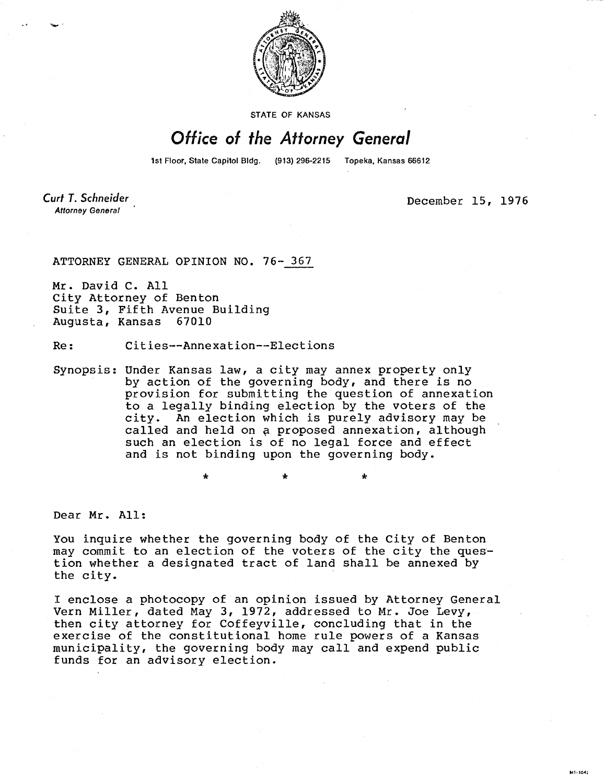

**STATE OF KANSAS** 

## Office of the Attorney General

1st Floor, State Capitol Bldg. (913) 296-2215 Topeka, Kansas 66612

÷

Curt T. Schneider **Attorney General** 

December 15, 1976

ATTORNEY GENERAL OPINION NO. 76- 367

Mr. David C. All City Attorney of Benton Suite 3, Fifth Avenue Building Augusta, Kansas 67010

Re: Cities--Annexation--Elections

Synopsis: Under Kansas law, a city may annex property only by action of the governing body, and there is no provision for submitting the question of annexation to a legally binding election by the voters of the city. An election which is purely advisory may be called and held on a proposed annexation, although such an election is of no legal force and effect and is not binding upon the governing body.

Dear Mr. All:

You inquire whether the governing body of the City of Benton may commit to an election of the voters of the city the question whether a designated tract of land shall be annexed by the city.

I enclose a photocopy of an opinion issued by Attorney General Vern Miller, dated May 3, 1972, addressed to Mr. Joe Levy, then city attorney for Coffeyville, concluding that in the exercise of the constitutional home rule powers of a Kansas municipality, the governing body may call and expend public funds for an advisory election.